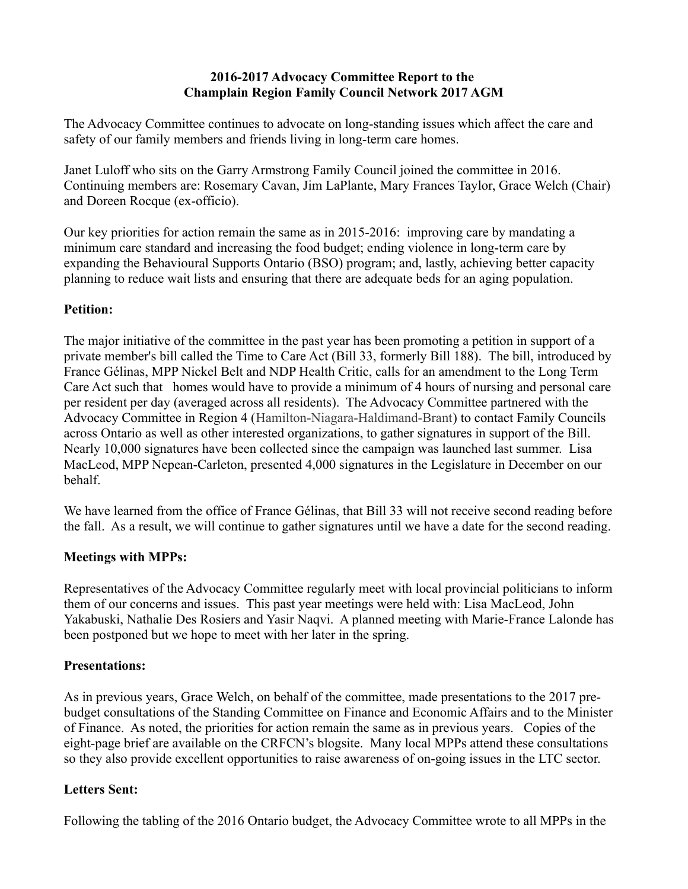#### **2016-2017 Advocacy Committee Report to the Champlain Region Family Council Network 2017 AGM**

The Advocacy Committee continues to advocate on long-standing issues which affect the care and safety of our family members and friends living in long-term care homes.

Janet Luloff who sits on the Garry Armstrong Family Council joined the committee in 2016. Continuing members are: Rosemary Cavan, Jim LaPlante, Mary Frances Taylor, Grace Welch (Chair) and Doreen Rocque (ex-officio).

Our key priorities for action remain the same as in 2015-2016: improving care by mandating a minimum care standard and increasing the food budget; ending violence in long-term care by expanding the Behavioural Supports Ontario (BSO) program; and, lastly, achieving better capacity planning to reduce wait lists and ensuring that there are adequate beds for an aging population.

### **Petition:**

The major initiative of the committee in the past year has been promoting a petition in support of a private member's bill called the Time to Care Act (Bill 33, formerly Bill 188). The bill, introduced by France Gélinas, MPP Nickel Belt and NDP Health Critic, calls for an amendment to the Long Term Care Act such that homes would have to provide a minimum of 4 hours of nursing and personal care per resident per day (averaged across all residents). The Advocacy Committee partnered with the Advocacy Committee in Region 4 (Hamilton-Niagara-Haldimand-Brant) to contact Family Councils across Ontario as well as other interested organizations, to gather signatures in support of the Bill. Nearly 10,000 signatures have been collected since the campaign was launched last summer. Lisa MacLeod, MPP Nepean-Carleton, presented 4,000 signatures in the Legislature in December on our behalf.

We have learned from the office of France Gélinas, that Bill 33 will not receive second reading before the fall. As a result, we will continue to gather signatures until we have a date for the second reading.

# **Meetings with MPPs:**

Representatives of the Advocacy Committee regularly meet with local provincial politicians to inform them of our concerns and issues. This past year meetings were held with: Lisa MacLeod, John Yakabuski, Nathalie Des Rosiers and Yasir Naqvi. A planned meeting with Marie-France Lalonde has been postponed but we hope to meet with her later in the spring.

# **Presentations:**

As in previous years, Grace Welch, on behalf of the committee, made presentations to the 2017 prebudget consultations of the Standing Committee on Finance and Economic Affairs and to the Minister of Finance. As noted, the priorities for action remain the same as in previous years. Copies of the eight-page brief are available on the CRFCN's blogsite. Many local MPPs attend these consultations so they also provide excellent opportunities to raise awareness of on-going issues in the LTC sector.

# **Letters Sent:**

Following the tabling of the 2016 Ontario budget, the Advocacy Committee wrote to all MPPs in the